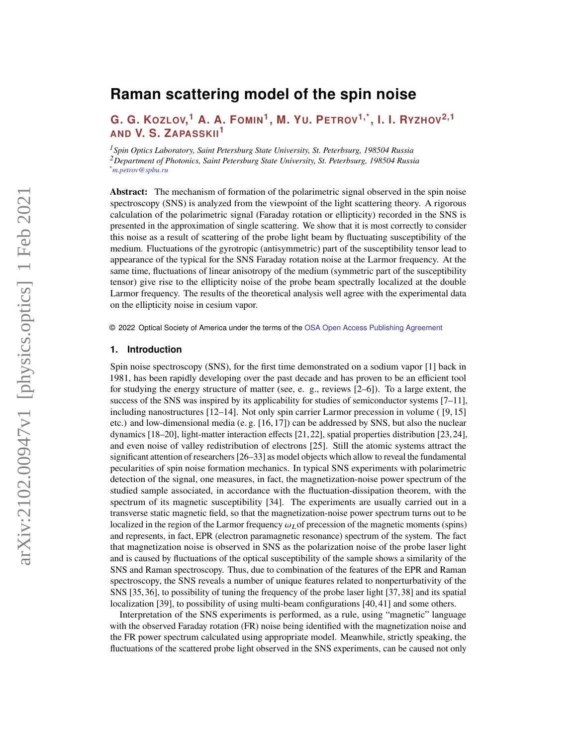# **Raman scattering model of the spin noise**

**G. G. KOZLOV, <sup>1</sup> A. A. FOMIN<sup>1</sup> , M. YU. PETROV1,\*, I. I. RYZHOV2,1 AND V. S. ZAPASSKII<sup>1</sup>**

*<sup>1</sup>Spin Optics Laboratory, Saint Petersburg State University, St. Peterbsurg, 198504 Russia <sup>2</sup>Department of Photonics, Saint Petersburg State University, St. Peterbsurg, 198504 Russia \*m.petrov@spbu.ru*

**Abstract:** The mechanism of formation of the polarimetric signal observed in the spin noise spectroscopy (SNS) is analyzed from the viewpoint of the light scattering theory. A rigorous calculation of the polarimetric signal (Faraday rotation or ellipticity) recorded in the SNS is presented in the approximation of single scattering. We show that it is most correctly to consider this noise as a result of scattering of the probe light beam by fluctuating susceptibility of the medium. Fluctuations of the gyrotropic (antisymmetric) part of the susceptibility tensor lead to appearance of the typical for the SNS Faraday rotation noise at the Larmor frequency. At the same time, fluctuations of linear anisotropy of the medium (symmetric part of the susceptibility tensor) give rise to the ellipticity noise of the probe beam spectrally localized at the double Larmor frequency. The results of the theoretical analysis well agree with the experimental data on the ellipticity noise in cesium vapor.

© 2022 Optical Society of America under the terms of the [OSA Open Access Publishing Agreement](https://doi.org/10.1364/OA_License_v1)

## **1. Introduction**

Spin noise spectroscopy (SNS), for the first time demonstrated on a sodium vapor [\[1\]](#page-11-0) back in 1981, has been rapidly developing over the past decade and has proven to be an efficient tool for studying the energy structure of matter (see, e. g., reviews [\[2](#page-11-1)[–6\]](#page-11-2)). To a large extent, the success of the SNS was inspired by its applicability for studies of semiconductor systems  $[7-11]$  $[7-11]$ , including nanostructures [\[12](#page-11-5)[–14\]](#page-11-6). Not only spin carrier Larmor precession in volume ( [\[9,](#page-11-7) [15\]](#page-11-8) etc.) and low-dimensional media (e. g. [\[16,](#page-11-9) [17\]](#page-11-10)) can be addressed by SNS, but also the nuclear dynamics [\[18–](#page-11-11)[20\]](#page-11-12), light-matter interaction effects [\[21,](#page-11-13)[22\]](#page-11-14), spatial properties distribution [\[23,](#page-12-0)[24\]](#page-12-1), and even noise of valley redistribution of electrons [\[25\]](#page-12-2). Still the atomic systems attract the significant attention of researchers [\[26–](#page-12-3)[33\]](#page-12-4) as model objects which allow to reveal the fundamental pecularities of spin noise formation mechanics. In typical SNS experiments with polarimetric detection of the signal, one measures, in fact, the magnetization-noise power spectrum of the studied sample associated, in accordance with the fluctuation-dissipation theorem, with the spectrum of its magnetic susceptibility [\[34\]](#page-12-5). The experiments are usually carried out in a transverse static magnetic field, so that the magnetization-noise power spectrum turns out to be localized in the region of the Larmor frequency  $\omega_L$  of precession of the magnetic moments (spins) and represents, in fact, EPR (electron paramagnetic resonance) spectrum of the system. The fact that magnetization noise is observed in SNS as the polarization noise of the probe laser light and is caused by fluctuations of the optical susceptibility of the sample shows a similarity of the SNS and Raman spectroscopy. Thus, due to combination of the features of the EPR and Raman spectroscopy, the SNS reveals a number of unique features related to nonperturbativity of the SNS [\[35,](#page-12-6)[36\]](#page-12-7), to possibility of tuning the frequency of the probe laser light [\[37,](#page-12-8)[38\]](#page-12-9) and its spatial localization [\[39\]](#page-12-10), to possibility of using multi-beam configurations [\[40,](#page-12-11) [41\]](#page-12-12) and some others.

Interpretation of the SNS experiments is performed, as a rule, using "magnetic" language with the observed Faraday rotation (FR) noise being identified with the magnetization noise and the FR power spectrum calculated using appropriate model. Meanwhile, strictly speaking, the fluctuations of the scattered probe light observed in the SNS experiments, can be caused not only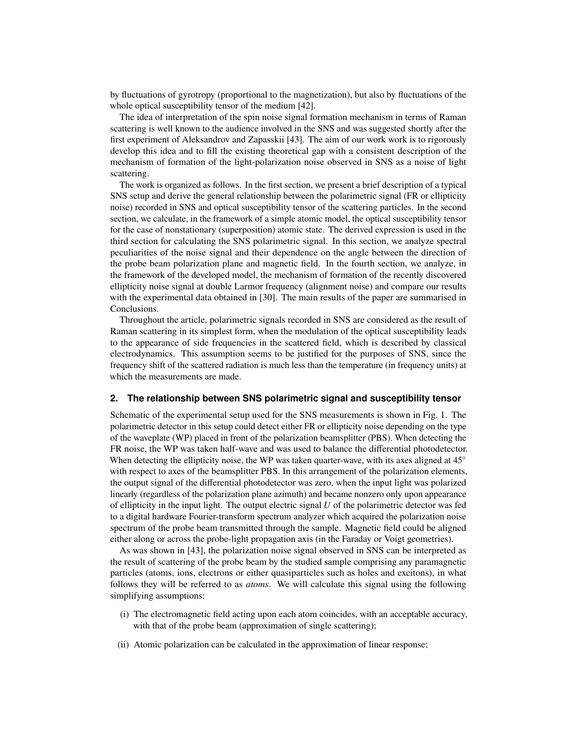by fluctuations of gyrotropy (proportional to the magnetization), but also by fluctuations of the whole optical susceptibility tensor of the medium [\[42\]](#page-12-13).

The idea of interpretation of the spin noise signal formation mechanism in terms of Raman scattering is well known to the audience involved in the SNS and was suggested shortly after the first experiment of Aleksandrov and Zapasskii [\[43\]](#page-12-14). The aim of our work work is to rigorously develop this idea and to fill the existing theoretical gap with a consistent description of the mechanism of formation of the light-polarization noise observed in SNS as a noise of light scattering.

The work is organized as follows. In the first section, we present a brief description of a typical SNS setup and derive the general relationship between the polarimetric signal (FR or ellipticity noise) recorded in SNS and optical susceptibility tensor of the scattering particles. In the second section, we calculate, in the framework of a simple atomic model, the optical susceptibility tensor for the case of nonstationary (superposition) atomic state. The derived expression is used in the third section for calculating the SNS polarimetric signal. In this section, we analyze spectral peculiarities of the noise signal and their dependence on the angle between the direction of the probe beam polarization plane and magnetic field. In the fourth section, we analyze, in the framework of the developed model, the mechanism of formation of the recently discovered ellipticity noise signal at double Larmor frequency (alignment noise) and compare our results with the experimental data obtained in [\[30\]](#page-12-15). The main results of the paper are summarised in Conclusions.

Throughout the article, polarimetric signals recorded in SNS are considered as the result of Raman scattering in its simplest form, when the modulation of the optical susceptibility leads to the appearance of side frequencies in the scattered field, which is described by classical electrodynamics. This assumption seems to be justified for the purposes of SNS, since the frequency shift of the scattered radiation is much less than the temperature (in frequency units) at which the measurements are made.

#### **2. The relationship between SNS polarimetric signal and susceptibility tensor**

Schematic of the experimental setup used for the SNS measurements is shown in Fig. [1.](#page-2-0) The polarimetric detector in this setup could detect either FR or ellipticity noise depending on the type of the waveplate (WP) placed in front of the polarization beamsplitter (PBS). When detecting the FR noise, the WP was taken half-wave and was used to balance the differential photodetector. When detecting the ellipticity noise, the WP was taken quarter-wave, with its axes aligned at  $45°$ with respect to axes of the beamsplitter PBS. In this arrangement of the polarization elements, the output signal of the differential photodetector was zero, when the input light was polarized linearly (regardless of the polarization plane azimuth) and became nonzero only upon appearance of ellipticity in the input light. The output electric signal  $U$  of the polarimetric detector was fed to a digital hardware Fourier-transform spectrum analyzer which acquired the polarization noise spectrum of the probe beam transmitted through the sample. Magnetic field could be aligned either along or across the probe-light propagation axis (in the Faraday or Voigt geometries).

As was shown in [\[43\]](#page-12-14), the polarization noise signal observed in SNS can be interpreted as the result of scattering of the probe beam by the studied sample comprising any paramagnetic particles (atoms, ions, electrons or either quasiparticles such as holes and excitons), in what follows they will be referred to as *atoms*. We will calculate this signal using the following simplifying assumptions:

- (i) The electromagnetic field acting upon each atom coincides, with an acceptable accuracy, with that of the probe beam (approximation of single scattering);
- (ii) Atomic polarization can be calculated in the approximation of linear response;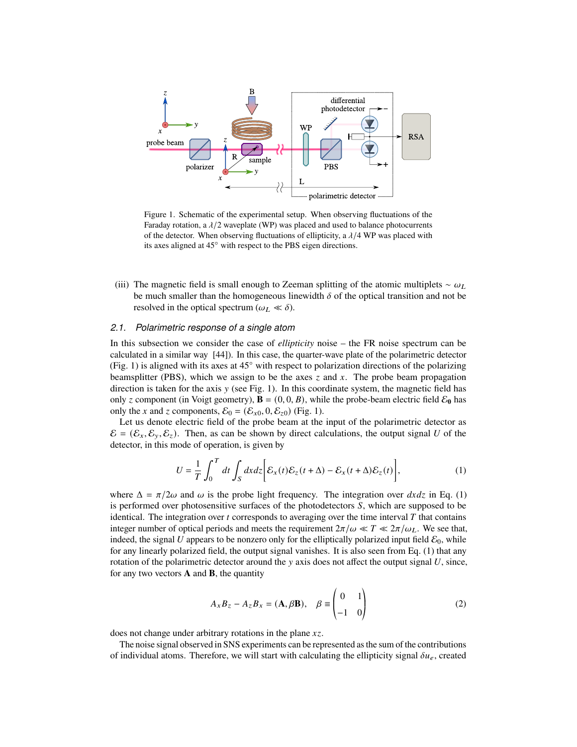<span id="page-2-0"></span>

Figure 1. Schematic of the experimental setup. When observing fluctuations of the Faraday rotation, a  $\lambda/2$  waveplate (WP) was placed and used to balance photocurrents of the detector. When observing fluctuations of ellipticity, a  $\lambda/4$  WP was placed with its axes aligned at 45◦ with respect to the PBS eigen directions.

(iii) The magnetic field is small enough to Zeeman splitting of the atomic multiplets  $\sim \omega_L$ be much smaller than the homogeneous linewidth  $\delta$  of the optical transition and not be resolved in the optical spectrum ( $\omega_L \ll \delta$ ).

## *2.1. Polarimetric response of a single atom*

In this subsection we consider the case of *ellipticity* noise – the FR noise spectrum can be calculated in a similar way [\[44\]](#page-12-16)). In this case, the quarter-wave plate of the polarimetric detector (Fig. [1\)](#page-2-0) is aligned with its axes at  $45°$  with respect to polarization directions of the polarizing beamsplitter (PBS), which we assign to be the axes  $\zeta$  and  $x$ . The probe beam propagation direction is taken for the axis  $y$  (see Fig. [1\)](#page-2-0). In this coordinate system, the magnetic field has only z component (in Voigt geometry),  $\mathbf{B} = (0, 0, B)$ , while the probe-beam electric field  $\mathcal{E}_0$  has only the x and z components,  $\mathcal{E}_0 = (\mathcal{E}_{x0}, 0, \mathcal{E}_{z0})$  (Fig. [1\)](#page-2-0).

Let us denote electric field of the probe beam at the input of the polarimetric detector as  $\mathcal{E} = (\mathcal{E}_x, \mathcal{E}_y, \mathcal{E}_z)$ . Then, as can be shown by direct calculations, the output signal U of the detector, in this mode of operation, is given by

<span id="page-2-1"></span>
$$
U = \frac{1}{T} \int_0^T dt \int_S dx dz \bigg[ \mathcal{E}_x(t) \mathcal{E}_z(t + \Delta) - \mathcal{E}_x(t + \Delta) \mathcal{E}_z(t) \bigg],
$$
 (1)

where  $\Delta = \pi/2\omega$  and  $\omega$  is the probe light frequency. The integration over  $dx dz$  in Eq. [\(1\)](#page-2-1) is performed over photosensitive surfaces of the photodetectors  $S$ , which are supposed to be identical. The integration over  $t$  corresponds to averaging over the time interval  $T$  that contains integer number of optical periods and meets the requirement  $2\pi/\omega \ll T \ll 2\pi/\omega_L$ . We see that, indeed, the signal U appears to be nonzero only for the elliptically polarized input field  $\mathcal{E}_0$ , while for any linearly polarized field, the output signal vanishes. It is also seen from Eq. [\(1\)](#page-2-1) that any rotation of the polarimetric detector around the  $y$  axis does not affect the output signal  $U$ , since, for any two vectors **A** and **B**, the quantity

<span id="page-2-2"></span>
$$
A_x B_z - A_z B_x = (\mathbf{A}, \beta \mathbf{B}), \quad \beta \equiv \begin{pmatrix} 0 & 1 \\ -1 & 0 \end{pmatrix}
$$
 (2)

does not change under arbitrary rotations in the plane  $xz$ .

The noise signal observed in SNS experiments can be represented as the sum of the contributions of individual atoms. Therefore, we will start with calculating the ellipticity signal  $\delta u_e$ , created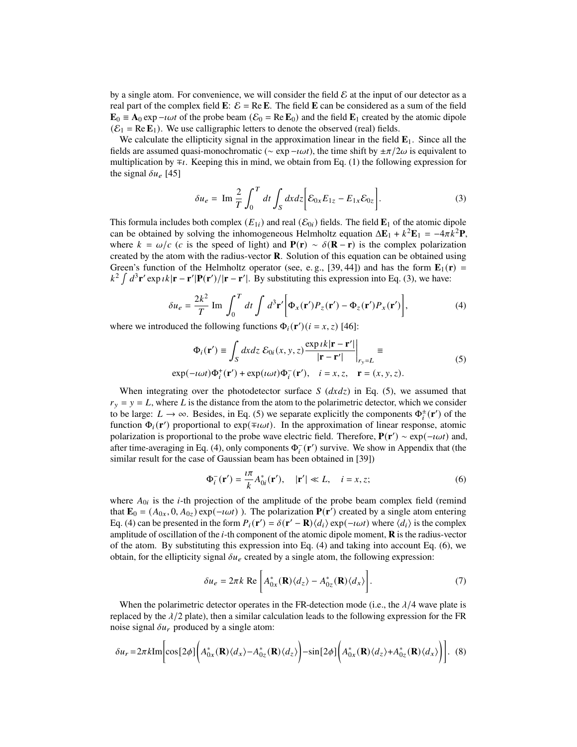by a single atom. For convenience, we will consider the field  $\mathcal E$  at the input of our detector as a real part of the complex field **E**:  $\mathcal{E} = \text{Re} \mathbf{E}$ . The field **E** can be considered as a sum of the field  $\mathbf{E}_0 \equiv \mathbf{A}_0 \exp{-i\omega t}$  of the probe beam ( $\mathcal{E}_0 = \text{Re } \mathbf{E}_0$ ) and the field  $\mathbf{E}_1$  created by the atomic dipole  $(\mathcal{E}_1 = \text{Re } \mathbf{E}_1)$ . We use calligraphic letters to denote the observed (real) fields.

We calculate the ellipticity signal in the approximation linear in the field  $\mathbf{E}_1$ . Since all the fields are assumed quasi-monochromatic ( $\sim \exp(-i\omega t)$ , the time shift by  $\pm \pi/2\omega$  is equivalent to multiplication by  $\mp i$ . Keeping this in mind, we obtain from Eq. [\(1\)](#page-2-1) the following expression for the signal  $\delta u_e$  [\[45\]](#page-12-17)

<span id="page-3-0"></span>
$$
\delta u_e = \operatorname{Im} \frac{2}{T} \int_0^T dt \int_S dx dz \bigg[ \mathcal{E}_{0x} E_{1z} - E_{1x} \mathcal{E}_{0z} \bigg]. \tag{3}
$$

This formula includes both complex  $(E_{1i})$  and real  $(\mathcal{E}_{0i})$  fields. The field  $\mathbf{E}_1$  of the atomic dipole can be obtained by solving the inhomogeneous Helmholtz equation  $\Delta E_1 + k^2 E_1 = -4\pi k^2 P$ , where  $k = \omega/c$  (c is the speed of light) and  $P(r) \sim \delta(R - r)$  is the complex polarization created by the atom with the radius-vector **R**. Solution of this equation can be obtained using Green's function of the Helmholtz operator (see, e.g., [\[39,](#page-12-10) [44\]](#page-12-16)) and has the form  $\mathbf{E}_1(\mathbf{r})$  =  $k^2 \int d^3 \mathbf{r}' \exp(i \mathbf{k} \cdot \mathbf{r} - \mathbf{r}' | \mathbf{P}(\mathbf{r}') / |\mathbf{r} - \mathbf{r}'|$ . By substituting this expression into Eq. [\(3\)](#page-3-0), we have:

<span id="page-3-2"></span>
$$
\delta u_e = \frac{2k^2}{T} \operatorname{Im} \int_0^T dt \int d^3 \mathbf{r}' \bigg[ \Phi_x(\mathbf{r}') P_z(\mathbf{r}') - \Phi_z(\mathbf{r}') P_x(\mathbf{r}') \bigg],\tag{4}
$$

where we introduced the following functions  $\Phi_i(\mathbf{r}')$  ( $i = x, z$ ) [\[46\]](#page-12-18):

<span id="page-3-1"></span>
$$
\Phi_i(\mathbf{r}') \equiv \int_S dx dz \, \mathcal{E}_{0i}(x, y, z) \frac{\exp i k|\mathbf{r} - \mathbf{r}'|}{|\mathbf{r} - \mathbf{r}'|} \Big|_{r_y = L} \equiv
$$
\n
$$
\exp(-i\omega t) \Phi_i^+(\mathbf{r}') + \exp(i\omega t) \Phi_i^-(\mathbf{r}'), \quad i = x, z, \quad \mathbf{r} = (x, y, z).
$$
\n(5)

When integrating over the photodetector surface  $S$  ( $dxdz$ ) in Eq. [\(5\)](#page-3-1), we assumed that  $r_v = v = L$ , where L is the distance from the atom to the polarimetric detector, which we consider to be large:  $L \to \infty$ . Besides, in Eq. [\(5\)](#page-3-1) we separate explicitly the components  $\Phi_i^{\pm}(\mathbf{r}')$  of the function  $\Phi_i(\mathbf{r}')$  proportional to exp( $\mp i\omega t$ ). In the approximation of linear response, atomic polarization is proportional to the probe wave electric field. Therefore,  $P(r') \sim \exp(-i\omega t)$  and, after time-averaging in Eq. [\(4\)](#page-3-2), only components  $\Phi_i^-(\mathbf{r}')$  survive. We show in Appendix that (the similar result for the case of Gaussian beam has been obtained in [\[39\]](#page-12-10))

<span id="page-3-3"></span>
$$
\Phi_i^-(\mathbf{r}') = \frac{i\pi}{k} A_{0i}^*(\mathbf{r}'), \quad |\mathbf{r}'| \ll L, \quad i = x, z;
$$
 (6)

where  $A_{0i}$  is the *i*-th projection of the amplitude of the probe beam complex field (remind that  $\mathbf{E}_0 = (A_{0x}, 0, A_{0z}) \exp(-i\omega t)$ . The polarization  $\mathbf{P}(\mathbf{r}')$  created by a single atom entering Eq. [\(4\)](#page-3-2) can be presented in the form  $P_i(\mathbf{r}') = \delta(\mathbf{r}' - \mathbf{R})\langle d_i \rangle \exp(-i\omega t)$  where  $\langle d_i \rangle$  is the complex amplitude of oscillation of the  $i$ -th component of the atomic dipole moment,  $\bf{R}$  is the radius-vector of the atom. By substituting this expression into Eq. [\(4\)](#page-3-2) and taking into account Eq. [\(6\)](#page-3-3), we obtain, for the ellipticity signal  $\delta u_e$  created by a single atom, the following expression:

<span id="page-3-4"></span>
$$
\delta u_e = 2\pi k \text{ Re } \left[ A_{0x}^*(\mathbf{R}) \langle d_z \rangle - A_{0z}^*(\mathbf{R}) \langle d_x \rangle \right]. \tag{7}
$$

When the polarimetric detector operates in the FR-detection mode (i.e., the  $\lambda/4$  wave plate is replaced by the  $\lambda/2$  plate), then a similar calculation leads to the following expression for the FR noise signal  $\delta u_r$  produced by a single atom:

<span id="page-3-5"></span>
$$
\delta u_r = 2\pi k \text{Im} \bigg[ \cos \left[ 2\phi \right] \bigg( A_{0x}^*(\mathbf{R}) \langle d_x \rangle - A_{0z}^*(\mathbf{R}) \langle d_z \rangle \bigg) - \sin \left[ 2\phi \right] \bigg( A_{0x}^*(\mathbf{R}) \langle d_z \rangle + A_{0z}^*(\mathbf{R}) \langle d_x \rangle \bigg) \bigg]. \tag{8}
$$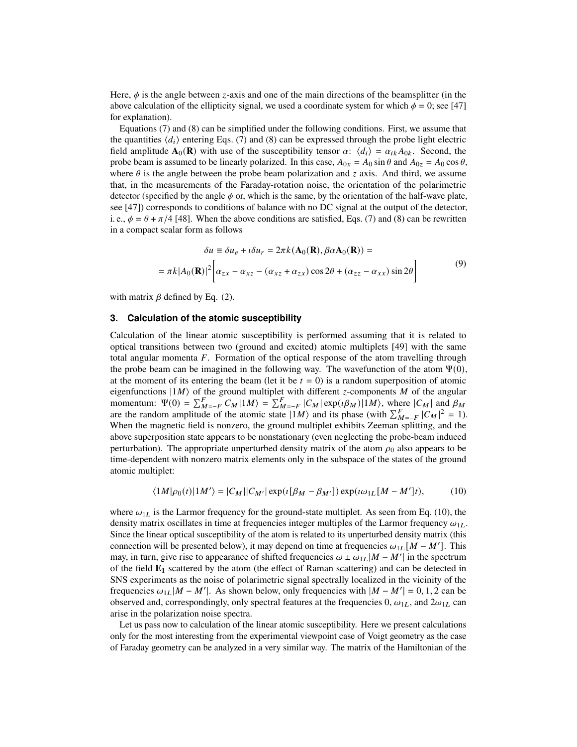Here,  $\phi$  is the angle between *z*-axis and one of the main directions of the beamsplitter (in the above calculation of the ellipticity signal, we used a coordinate system for which  $\phi = 0$ ; see [\[47\]](#page-12-19) for explanation).

Equations [\(7\)](#page-3-4) and [\(8\)](#page-3-5) can be simplified under the following conditions. First, we assume that the quantities  $\langle d_i \rangle$  entering Eqs. [\(7\)](#page-3-4) and [\(8\)](#page-3-5) can be expressed through the probe light electric field amplitude  $\mathbf{A}_0(\mathbf{R})$  with use of the susceptibility tensor  $\alpha$ :  $\langle d_i \rangle = \alpha_{ik} A_{0k}$ . Second, the probe beam is assumed to be linearly polarized. In this case,  $A_{0x} = A_0 \sin \theta$  and  $A_{0z} = A_0 \cos \theta$ , where  $\theta$  is the angle between the probe beam polarization and z axis. And third, we assume that, in the measurements of the Faraday-rotation noise, the orientation of the polarimetric detector (specified by the angle  $\phi$  or, which is the same, by the orientation of the half-wave plate, see [\[47\]](#page-12-19)) corresponds to conditions of balance with no DC signal at the output of the detector, i. e.,  $\phi = \theta + \pi/4$  [\[48\]](#page-12-20). When the above conditions are satisfied, Eqs. [\(7\)](#page-3-4) and [\(8\)](#page-3-5) can be rewritten in a compact scalar form as follows

<span id="page-4-1"></span>
$$
\delta u \equiv \delta u_e + i \delta u_r = 2\pi k (\mathbf{A}_0(\mathbf{R}), \beta \alpha \mathbf{A}_0(\mathbf{R})) =
$$
  
=  $\pi k |A_0(\mathbf{R})|^2 \left[ \alpha_{zx} - \alpha_{xz} - (\alpha_{xz} + \alpha_{zx}) \cos 2\theta + (\alpha_{zz} - \alpha_{xx}) \sin 2\theta \right]$  (9)

with matrix  $\beta$  defined by Eq. [\(2\)](#page-2-2).

#### **3. Calculation of the atomic susceptibility**

Calculation of the linear atomic susceptibility is performed assuming that it is related to optical transitions between two (ground and excited) atomic multiplets [\[49\]](#page-12-21) with the same total angular momenta  $F$ . Formation of the optical response of the atom travelling through the probe beam can be imagined in the following way. The wavefunction of the atom  $\Psi(0)$ , at the moment of its entering the beam (let it be  $t = 0$ ) is a random superposition of atomic eigenfunctions  $|1M\rangle$  of the ground multiplet with different *z*-components M of the angular momentum:  $\Psi(0) = \sum_{M=-F}^{F} C_M |1M\rangle = \sum_{M=-F}^{F} |C_M| \exp(i\beta_M) |1M\rangle$ , where  $|C_M|$  and  $\beta_M$ are the random amplitude of the atomic state  $|1M\rangle$  and its phase (with  $\sum_{M=-F}^{F} |C_M|^2 = 1$ ). When the magnetic field is nonzero, the ground multiplet exhibits Zeeman splitting, and the above superposition state appears to be nonstationary (even neglecting the probe-beam induced perturbation). The appropriate unperturbed density matrix of the atom  $\rho_0$  also appears to be time-dependent with nonzero matrix elements only in the subspace of the states of the ground atomic multiplet:

<span id="page-4-0"></span>
$$
\langle 1M|\rho_0(t)|1M'\rangle = |C_M||C_{M'}|\exp(\iota[\beta_M - \beta_{M'}])\exp(\iota\omega_{1L}[M - M']t),\tag{10}
$$

where  $\omega_{1L}$  is the Larmor frequency for the ground-state multiplet. As seen from Eq. [\(10\)](#page-4-0), the density matrix oscillates in time at frequencies integer multiples of the Larmor frequency  $\omega_{1L}$ . Since the linear optical susceptibility of the atom is related to its unperturbed density matrix (this connection will be presented below), it may depend on time at frequencies  $\omega_{1L}[M - M']$ . This may, in turn, give rise to appearance of shifted frequencies  $\omega \pm \omega_{1L} |M - M'|$  in the spectrum of the field **E<sup>1</sup>** scattered by the atom (the effect of Raman scattering) and can be detected in SNS experiments as the noise of polarimetric signal spectrally localized in the vicinity of the frequencies  $\omega_{1L} | M - M' |$ . As shown below, only frequencies with  $|M - M' | = 0, 1, 2$  can be observed and, correspondingly, only spectral features at the frequencies  $0, \omega_{1L}$ , and  $2\omega_{1L}$  can arise in the polarization noise spectra.

Let us pass now to calculation of the linear atomic susceptibility. Here we present calculations only for the most interesting from the experimental viewpoint case of Voigt geometry as the case of Faraday geometry can be analyzed in a very similar way. The matrix of the Hamiltonian of the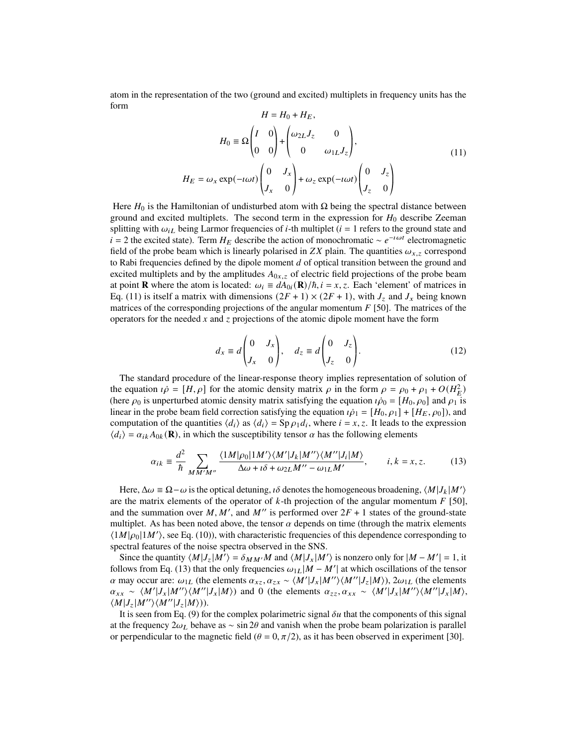atom in the representation of the two (ground and excited) multiplets in frequency units has the form

<span id="page-5-0"></span>
$$
H = H_0 + H_E,
$$
  
\n
$$
H_0 = \Omega \begin{pmatrix} I & 0 \\ 0 & 0 \end{pmatrix} + \begin{pmatrix} \omega_{2L} J_z & 0 \\ 0 & \omega_{1L} J_z \end{pmatrix},
$$
  
\n
$$
H_E = \omega_x \exp(-\iota \omega t) \begin{pmatrix} 0 & J_x \\ J_x & 0 \end{pmatrix} + \omega_z \exp(-\iota \omega t) \begin{pmatrix} 0 & J_z \\ J_z & 0 \end{pmatrix}
$$
\n(11)

Here  $H_0$  is the Hamiltonian of undisturbed atom with  $\Omega$  being the spectral distance between ground and excited multiplets. The second term in the expression for  $H_0$  describe Zeeman splitting with  $\omega_{iL}$  being Larmor frequencies of *i*-th multiplet ( $i = 1$  refers to the ground state and  $i = 2$  the excited state). Term  $H_E$  describe the action of monochromatic ~  $e^{-i\omega t}$  electromagnetic field of the probe beam which is linearly polarised in ZX plain. The quantities  $\omega_{x,z}$  correspond to Rabi frequencies defined by the dipole moment  $d$  of optical transition between the ground and excited multiplets and by the amplitudes  $A_{0x, z}$  of electric field projections of the probe beam at point **R** where the atom is located:  $\omega_i \equiv dA_{0i}(\mathbf{R})/\hbar$ ,  $i = x, z$ . Each 'element' of matrices in Eq. [\(11\)](#page-5-0) is itself a matrix with dimensions  $(2F + 1) \times (2F + 1)$ , with  $J_z$  and  $J_x$  being known matrices of the corresponding projections of the angular momentum  $F$  [\[50\]](#page-12-22). The matrices of the operators for the needed  $x$  and  $z$  projections of the atomic dipole moment have the form

$$
d_x \equiv d \begin{pmatrix} 0 & J_x \\ J_x & 0 \end{pmatrix}, \quad d_z \equiv d \begin{pmatrix} 0 & J_z \\ J_z & 0 \end{pmatrix}. \tag{12}
$$

The standard procedure of the linear-response theory implies representation of solution of the equation  $\vec{\rho} = [H, \rho]$  for the atomic density matrix  $\rho$  in the form  $\rho = \rho_0 + \rho_1 + O(H_E^2)$ (here  $\rho_0$  is unperturbed atomic density matrix satisfying the equation  $\iota \dot{\rho}_0 = [H_0, \rho_0]$  and  $\rho_1$  is linear in the probe beam field correction satisfying the equation  $i\dot{\rho}_1 = [H_0, \rho_1] + [H_E, \rho_0]$ , and computation of the quantities  $\langle d_i \rangle$  as  $\langle d_i \rangle = \text{Sp } \rho_1 d_i$ , where  $i = x, z$ . It leads to the expression  $\langle d_i \rangle = \alpha_{ik} A_{0k}({\bf R})$ , in which the susceptibility tensor  $\alpha$  has the following elements

<span id="page-5-1"></span>
$$
\alpha_{ik} \equiv \frac{d^2}{\hbar} \sum_{M M' M''} \frac{\langle 1M|\rho_0|1M'\rangle \langle M'|J_k|M''\rangle \langle M''|J_i|M\rangle}{\Delta \omega + i\delta + \omega_{2L}M'' - \omega_{1L}M'}, \qquad i, k = x, z. \tag{13}
$$

Here,  $\Delta \omega = \Omega - \omega$  is the optical detuning,  $\iota \delta$  denotes the homogeneous broadening,  $\langle M | J_k | M' \rangle$ are the matrix elements of the operator of  $k$ -th projection of the angular momentum  $F$  [\[50\]](#page-12-22), and the summation over M, M', and M'' is performed over  $2F + 1$  states of the ground-state multiplet. As has been noted above, the tensor  $\alpha$  depends on time (through the matrix elements  $\langle 1M|\rho_0|1M'\rangle$ , see Eq. [\(10\)](#page-4-0)), with characteristic frequencies of this dependence corresponding to spectral features of the noise spectra observed in the SNS.

Since the quantity  $\langle M | J_z | M' \rangle = \delta_{M M'} M$  and  $\langle M | J_x | M' \rangle$  is nonzero only for  $|M - M'| = 1$ , it follows from Eq. [\(13\)](#page-5-1) that the only frequencies  $\omega_{1L} | M - M' |$  at which oscillations of the tensor  $\alpha$  may occur are:  $\omega_{1L}$  (the elements  $\alpha_{xz}, \alpha_{zx} \sim \langle M'|J_x|M''\rangle \langle M''|J_z|M\rangle$ ),  $2\omega_{1L}$  (the elements  $\alpha_{xx} \sim \langle M'|J_x|M''\rangle \langle M''|J_x|M\rangle)$  and 0 (the elements  $\alpha_{zz}, \alpha_{xx} \sim \langle M'|J_x|M''\rangle \langle M''|J_x|M\rangle$ ,  $\langle M|J_z|M''\rangle \langle M''|J_z|M\rangle).$ 

It is seen from Eq. [\(9\)](#page-4-1) for the complex polarimetric signal  $\delta u$  that the components of this signal at the frequency  $2\omega_L$  behave as ∼ sin 2 $\theta$  and vanish when the probe beam polarization is parallel or perpendicular to the magnetic field ( $\theta = 0, \pi/2$ ), as it has been observed in experiment [\[30\]](#page-12-15).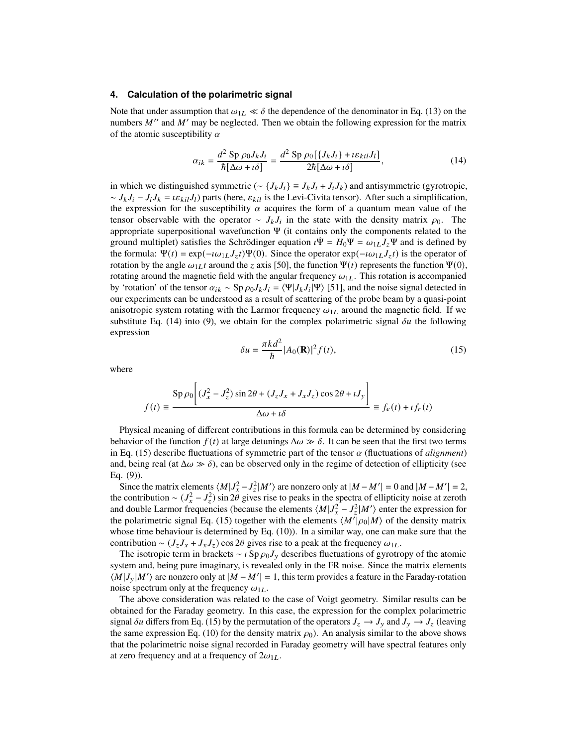#### **4. Calculation of the polarimetric signal**

Note that under assumption that  $\omega_{1L} \ll \delta$  the dependence of the denominator in Eq. [\(13\)](#page-5-1) on the numbers  $M''$  and  $M'$  may be neglected. Then we obtain the following expression for the matrix of the atomic susceptibility  $\alpha$ 

<span id="page-6-0"></span>
$$
\alpha_{ik} = \frac{d^2 \operatorname{Sp} \rho_0 J_k J_i}{\hbar [\Delta \omega + i \delta]} = \frac{d^2 \operatorname{Sp} \rho_0 [\{J_k J_i\} + i \varepsilon_{kil} J_l]}{2\hbar [\Delta \omega + i \delta]},
$$
(14)

in which we distinguished symmetric ( $\sim \{J_k J_i\} \equiv J_k J_i + J_i J_k$ ) and antisymmetric (gyrotropic,  $\sim J_k J_i - J_i J_k = i \varepsilon_{kil} J_l$ ) parts (here,  $\varepsilon_{kil}$  is the Levi-Civita tensor). After such a simplification, the expression for the susceptibility  $\alpha$  acquires the form of a quantum mean value of the tensor observable with the operator ~  $J_k J_i$  in the state with the density matrix  $\rho_0$ . The appropriate superpositional wavefunction  $\Psi$  (it contains only the components related to the ground multiplet) satisfies the Schrödinger equation  $\dot{\Psi} = H_0 \Psi = \omega_{1L} J_z \Psi$  and is defined by the formula:  $\Psi(t) = \exp(-i\omega_{1L}J_z t)\Psi(0)$ . Since the operator  $\exp(-i\omega_{1L}J_z t)$  is the operator of rotation by the angle  $\omega_{1L} t$  around the z axis [\[50\]](#page-12-22), the function  $\Psi(t)$  represents the function  $\Psi(0)$ , rotating around the magnetic field with the angular frequency  $\omega_{1L}$ . This rotation is accompanied by 'rotation' of the tensor  $\alpha_{ik} \sim \text{Sp}\,\rho_0 J_k J_i = \langle \Psi | J_k J_i | \Psi \rangle$  [\[51\]](#page-12-23), and the noise signal detected in our experiments can be understood as a result of scattering of the probe beam by a quasi-point anisotropic system rotating with the Larmor frequency  $\omega_{1L}$  around the magnetic field. If we substitute Eq. [\(14\)](#page-6-0) into [\(9\)](#page-4-1), we obtain for the complex polarimetric signal  $\delta u$  the following expression

<span id="page-6-1"></span>
$$
\delta u = \frac{\pi k d^2}{\hbar} |A_0(\mathbf{R})|^2 f(t),\tag{15}
$$

where

$$
f(t) \equiv \frac{\text{Sp}\,\rho_0 \bigg[ (J_x^2 - J_z^2) \sin 2\theta + (J_z J_x + J_x J_z) \cos 2\theta + i J_y \bigg]}{\Delta \omega + i \delta} \equiv f_e(t) + i f_r(t)
$$

Physical meaning of different contributions in this formula can be determined by considering behavior of the function  $f(t)$  at large detunings  $\Delta \omega \gg \delta$ . It can be seen that the first two terms in Eq.  $(15)$  describe fluctuations of symmetric part of the tensor  $\alpha$  (fluctuations of *alignment*) and, being real (at  $\Delta \omega \gg \delta$ ), can be observed only in the regime of detection of ellipticity (see Eq. [\(9\)](#page-4-1)).

Since the matrix elements  $\langle M | J_x^2 - J_z^2 | M' \rangle$  are nonzero only at  $|M - M'| = 0$  and  $|M - M'| = 2$ , the contribution ~  $(J_x^2 - J_z^2)$  sin  $2\theta$  gives rise to peaks in the spectra of ellipticity noise at zeroth and double Larmor frequencies (because the elements  $\langle M|J_x^2 - J_z^2|M'\rangle$  enter the expression for the polarimetric signal Eq. [\(15\)](#page-6-1) together with the elements  $\langle M|\hat{\rho}_0|M\rangle$  of the density matrix whose time behaviour is determined by Eq. [\(10\)](#page-4-0)). In a similar way, one can make sure that the contribution ~  $(J_z J_x + J_x J_z)$  cos 2 $\theta$  gives rise to a peak at the frequency  $\omega_{1L}$ .

The isotropic term in brackets ~  $\iota$  Sp  $\rho_0 J_y$  describes fluctuations of gyrotropy of the atomic system and, being pure imaginary, is revealed only in the FR noise. Since the matrix elements  $\langle M|J_y|M'\rangle$  are nonzero only at  $|M - M'| = 1$ , this term provides a feature in the Faraday-rotation noise spectrum only at the frequency  $\omega_{1L}$ .

The above consideration was related to the case of Voigt geometry. Similar results can be obtained for the Faraday geometry. In this case, the expression for the complex polarimetric signal  $\delta u$  differs from Eq. [\(15\)](#page-6-1) by the permutation of the operators  $J_z \to J_y$  and  $J_y \to J_z$  (leaving the same expression Eq. [\(10\)](#page-4-0) for the density matrix  $\rho_0$ ). An analysis similar to the above shows that the polarimetric noise signal recorded in Faraday geometry will have spectral features only at zero frequency and at a frequency of  $2\omega_{1L}$ .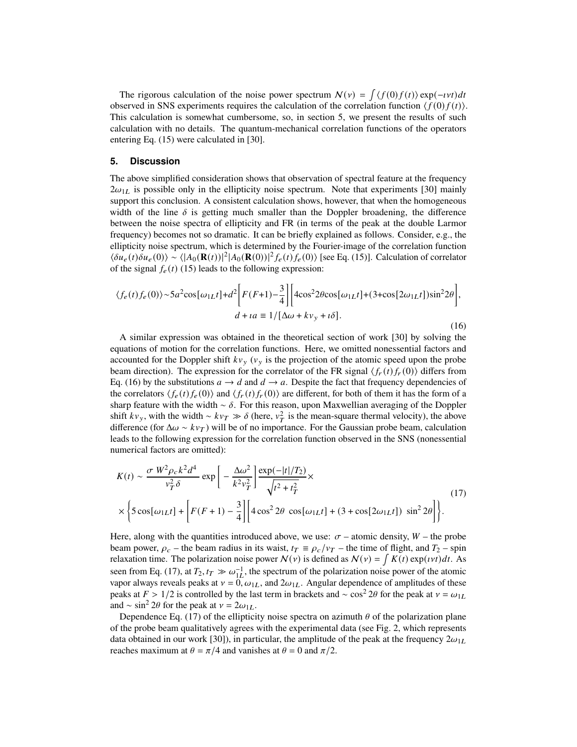The rigorous calculation of the noise power spectrum  $N(v) = \int \langle f(0)f(t) \rangle \exp(-\nu t) dt$ observed in SNS experiments requires the calculation of the correlation function  $\langle f(0) f(t) \rangle$ . This calculation is somewhat cumbersome, so, in section [5,](#page-7-0) we present the results of such calculation with no details. The quantum-mechanical correlation functions of the operators entering Eq. [\(15\)](#page-6-1) were calculated in [\[30\]](#page-12-15).

#### <span id="page-7-0"></span>**5. Discussion**

The above simplified consideration shows that observation of spectral feature at the frequency  $2\omega_{1L}$  is possible only in the ellipticity noise spectrum. Note that experiments [\[30\]](#page-12-15) mainly support this conclusion. A consistent calculation shows, however, that when the homogeneous width of the line  $\delta$  is getting much smaller than the Doppler broadening, the difference between the noise spectra of ellipticity and FR (in terms of the peak at the double Larmor frequency) becomes not so dramatic. It can be briefly explained as follows. Consider, e.g., the ellipticity noise spectrum, which is determined by the Fourier-image of the correlation function  $\langle \delta u_e(t) \delta u_e(0) \rangle$  ~  $\langle |A_0(\mathbf{R}(t))|^2 |A_0(\mathbf{R}(0))|^2 f_e(t) f_e(0) \rangle$  [see Eq. [\(15\)](#page-6-1)]. Calculation of correlator of the signal  $f_e(t)$  [\(15\)](#page-6-1) leads to the following expression:

<span id="page-7-1"></span>
$$
\langle f_e(t) f_e(0) \rangle \sim 5a^2 \cos[\omega_{1L}t] + d^2 \left[ F(F+1) - \frac{3}{4} \right] \left[ 4\cos^2 2\theta \cos[\omega_{1L}t] + (3 + \cos[2\omega_{1L}t])\sin^2 2\theta \right],
$$
  

$$
d + ia \equiv 1/[\Delta\omega + k v_y + i\delta].
$$
 (16)

A similar expression was obtained in the theoretical section of work [\[30\]](#page-12-15) by solving the equations of motion for the correlation functions. Here, we omitted nonessential factors and accounted for the Doppler shift  $kv_y$  ( $v_y$  is the projection of the atomic speed upon the probe beam direction). The expression for the correlator of the FR signal  $\langle f_r(t) f_r(0) \rangle$  differs from Eq. [\(16\)](#page-7-1) by the substitutions  $a \to d$  and  $d \to a$ . Despite the fact that frequency dependencies of the correlators  $\langle f_e(t) f_e(0) \rangle$  and  $\langle f_r(t) f_r(0) \rangle$  are different, for both of them it has the form of a sharp feature with the width  $~\delta$ . For this reason, upon Maxwellian averaging of the Doppler shift  $kv_y$ , with the width ~  $kv_T \gg \delta$  (here,  $v_T^2$  is the mean-square thermal velocity), the above difference (for  $\Delta \omega \sim k v_T$ ) will be of no importance. For the Gaussian probe beam, calculation leads to the following expression for the correlation function observed in the SNS (nonessential numerical factors are omitted):

<span id="page-7-2"></span>
$$
K(t) \sim \frac{\sigma W^2 \rho_c k^2 d^4}{v_T^2 \delta} \exp\left[-\frac{\Delta \omega^2}{k^2 v_T^2}\right] \frac{\exp(-|t|/T_2)}{\sqrt{t^2 + t_T^2}} \times \left[\sum_{\lambda \in \mathcal{S}} \exp\left(-\frac{|t|/T_2}{k^2 v_T^2}\right) \frac{\exp(-|t|/T_2)}{\sqrt{t^2 + t_T^2}}\right] \times \left[\sum_{\lambda \in \mathcal{S}} \exp\left[-\frac{1}{2} \frac{\rho_c}{k^2 v_T^2}\right] \frac{\exp(-|t|/T_2)}{\sqrt{t^2 + t_T^2}}\right].
$$
\n(17)

Here, along with the quantities introduced above, we use:  $\sigma$  – atomic density,  $W$  – the probe beam power,  $\rho_c$  – the beam radius in its waist,  $t_T \equiv \rho_c/v_T$  – the time of flight, and  $T_2$  – spin relaxation time. The polarization noise power  $N(v)$  is defined as  $N(v) = \int K(t) \exp(vt) dt$ . As seen from Eq. [\(17\)](#page-7-2), at  $T_2, t_T \gg \omega_{1L}^{-1}$ , the spectrum of the polarization noise power of the atomic vapor always reveals peaks at  $v = 0$ ,  $\omega_{1L}$ , and  $2\omega_{1L}$ . Angular dependence of amplitudes of these peaks at  $F > 1/2$  is controlled by the last term in brackets and ~ cos<sup>2</sup> 2θ for the peak at  $v = \omega_{1L}$ and ~ sin<sup>2</sup> 2 $\theta$  for the peak at  $v = 2\omega_{1L}$ .

Dependence Eq. [\(17\)](#page-7-2) of the ellipticity noise spectra on azimuth  $\theta$  of the polarization plane of the probe beam qualitatively agrees with the experimental data (see Fig. [2,](#page-8-0) which represents data obtained in our work [\[30\]](#page-12-15)), in particular, the amplitude of the peak at the frequency  $2\omega_{1L}$ reaches maximum at  $\theta = \pi/4$  and vanishes at  $\theta = 0$  and  $\pi/2$ .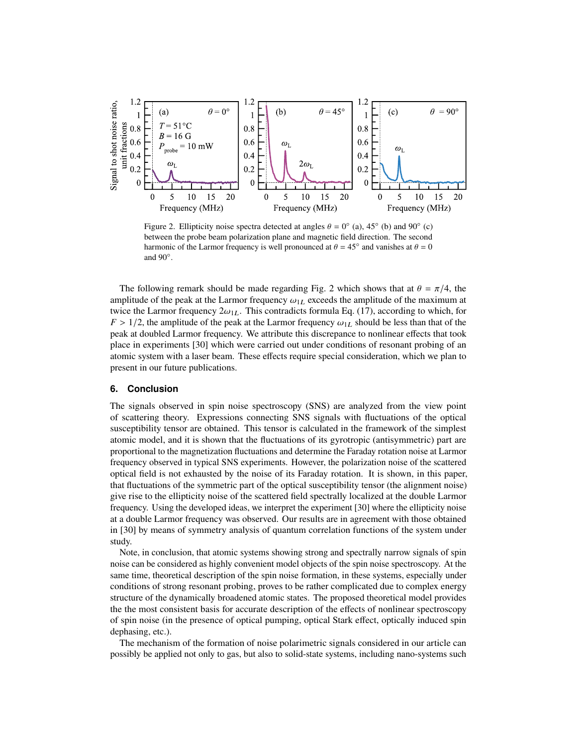<span id="page-8-0"></span>

Figure 2. Ellipticity noise spectra detected at angles  $\theta = 0^{\circ}$  (a), 45° (b) and 90° (c) between the probe beam polarization plane and magnetic field direction. The second harmonic of the Larmor frequency is well pronounced at  $\theta = 45^\circ$  and vanishes at  $\theta = 0$ and  $90^\circ$ .

The following remark should be made regarding Fig. [2](#page-8-0) which shows that at  $\theta = \pi/4$ , the amplitude of the peak at the Larmor frequency  $\omega_{1L}$  exceeds the amplitude of the maximum at twice the Larmor frequency  $2\omega_{1L}$ . This contradicts formula Eq. [\(17\)](#page-7-2), according to which, for  $F > 1/2$ , the amplitude of the peak at the Larmor frequency  $\omega_{1L}$  should be less than that of the peak at doubled Larmor frequency. We attribute this discrepance to nonlinear effects that took place in experiments [\[30\]](#page-12-15) which were carried out under conditions of resonant probing of an atomic system with a laser beam. These effects require special consideration, which we plan to present in our future publications.

## **6. Conclusion**

The signals observed in spin noise spectroscopy (SNS) are analyzed from the view point of scattering theory. Expressions connecting SNS signals with fluctuations of the optical susceptibility tensor are obtained. This tensor is calculated in the framework of the simplest atomic model, and it is shown that the fluctuations of its gyrotropic (antisymmetric) part are proportional to the magnetization fluctuations and determine the Faraday rotation noise at Larmor frequency observed in typical SNS experiments. However, the polarization noise of the scattered optical field is not exhausted by the noise of its Faraday rotation. It is shown, in this paper, that fluctuations of the symmetric part of the optical susceptibility tensor (the alignment noise) give rise to the ellipticity noise of the scattered field spectrally localized at the double Larmor frequency. Using the developed ideas, we interpret the experiment [\[30\]](#page-12-15) where the ellipticity noise at a double Larmor frequency was observed. Our results are in agreement with those obtained in [\[30\]](#page-12-15) by means of symmetry analysis of quantum correlation functions of the system under study.

Note, in conclusion, that atomic systems showing strong and spectrally narrow signals of spin noise can be considered as highly convenient model objects of the spin noise spectroscopy. At the same time, theoretical description of the spin noise formation, in these systems, especially under conditions of strong resonant probing, proves to be rather complicated due to complex energy structure of the dynamically broadened atomic states. The proposed theoretical model provides the the most consistent basis for accurate description of the effects of nonlinear spectroscopy of spin noise (in the presence of optical pumping, optical Stark effect, optically induced spin dephasing, etc.).

The mechanism of the formation of noise polarimetric signals considered in our article can possibly be applied not only to gas, but also to solid-state systems, including nano-systems such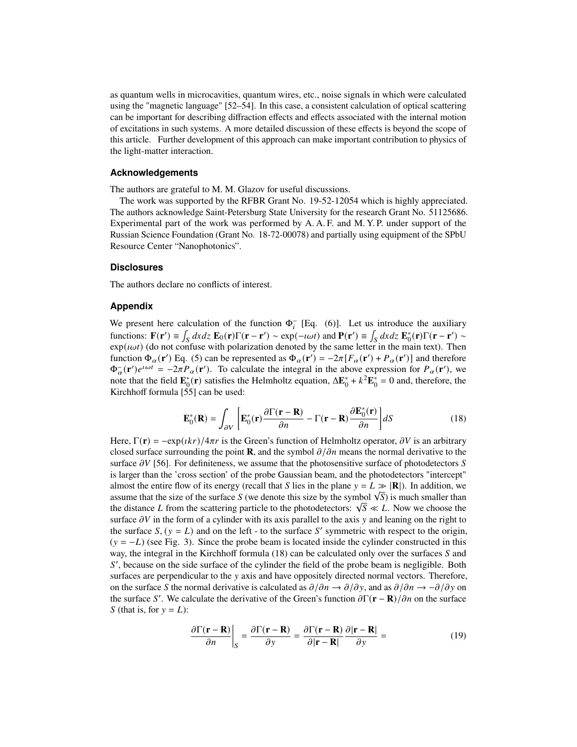as quantum wells in microcavities, quantum wires, etc., noise signals in which were calculated using the "magnetic language" [\[52](#page-12-24)[–54\]](#page-13-0). In this case, a consistent calculation of optical scattering can be important for describing diffraction effects and effects associated with the internal motion of excitations in such systems. A more detailed discussion of these effects is beyond the scope of this article. Further development of this approach can make important contribution to physics of the light-matter interaction.

### **Acknowledgements**

The authors are grateful to M. M. Glazov for useful discussions.

The work was supported by the RFBR Grant No. 19-52-12054 which is highly appreciated. The authors acknowledge Saint-Petersburg State University for the research Grant No. 51125686. Experimental part of the work was performed by A. A. F. and M. Y. P. under support of the Russian Science Foundation (Grant No. 18-72-00078) and partially using equipment of the SPbU Resource Center "Nanophotonics".

#### **Disclosures**

The authors declare no conflicts of interest.

## **Appendix**

We present here calculation of the function  $\Phi_i^-$  [Eq. [\(6\)](#page-3-3)]. Let us introduce the auxiliary functions:  $\mathbf{F}(\mathbf{r}') \equiv \int_S dx dz \ \mathbf{E}_0(\mathbf{r}) \Gamma(\mathbf{r} - \mathbf{r}') \sim \exp(-i\omega t)$  and  $\mathbf{P}(\mathbf{r}') \equiv \int_S dx dz \ \mathbf{E}_0^*(\mathbf{r}) \Gamma(\mathbf{r} - \mathbf{r}') \sim$  $exp(i\omega t)$  (do not confuse with polarization denoted by the same letter in the main text). Then function  $\Phi_{\alpha}(\mathbf{r}')$  Eq. [\(5\)](#page-3-1) can be represented as  $\Phi_{\alpha}(\mathbf{r}') = -2\pi [F_{\alpha}(\mathbf{r}') + P_{\alpha}(\mathbf{r}')]$  and therefore  $\Phi_{\alpha}^-(\mathbf{r}')e^{i\omega t} = -2\pi P_{\alpha}(\mathbf{r}')$ . To calculate the integral in the above expression for  $P_{\alpha}(\mathbf{r}')$ , we note that the field  $\mathbf{E}_0^*(\mathbf{r})$  satisfies the Helmholtz equation,  $\Delta \mathbf{E}_0^* + k^2 \mathbf{E}_0^* = 0$  and, therefore, the Kirchhoff formula [\[55\]](#page-13-1) can be used:

<span id="page-9-0"></span>
$$
\mathbf{E}_0^*(\mathbf{R}) = \int_{\partial V} \left[ \mathbf{E}_0^*(\mathbf{r}) \frac{\partial \Gamma(\mathbf{r} - \mathbf{R})}{\partial n} - \Gamma(\mathbf{r} - \mathbf{R}) \frac{\partial \mathbf{E}_0^*(\mathbf{r})}{\partial n} \right] dS \tag{18}
$$

Here,  $\Gamma(\mathbf{r}) = -e^{i\phi}(\mathbf{r})/4\pi r$  is the Green's function of Helmholtz operator,  $\partial V$  is an arbitrary closed surface surrounding the point **R**, and the symbol  $\partial/\partial n$  means the normal derivative to the surface  $\partial V$  [\[56\]](#page-13-2). For definiteness, we assume that the photosensitive surface of photodetectors S is larger than the 'cross section' of the probe Gaussian beam, and the photodetectors "intercept" almost the entire flow of its energy (recall that S lies in the plane  $y = L \gg |\mathbf{R}|$ ). In addition, we almost the entire now of its energy (recall that S lies in the plane  $y = L \gg |\mathbf{K}|$ ). In addition, we assume that the size of the surface S (we denote this size by the symbol  $\sqrt{S}$ ) is much smaller than assume that the size of the surface S (we denote this size by the symbol  $\sqrt{S}$ ) is much smaller than the distance L from the scattering particle to the photodetectors:  $\sqrt{S} \ll L$ . Now we choose the surface  $\partial V$  in the form of a cylinder with its axis parallel to the axis y and leaning on the right to the surface  $S$ ,  $(y = L)$  and on the left - to the surface S' symmetric with respect to the origin,  $(y = -L)$  (see Fig. [3\)](#page-10-0). Since the probe beam is located inside the cylinder constructed in this way, the integral in the Kirchhoff formula  $(18)$  can be calculated only over the surfaces  $S$  and S', because on the side surface of the cylinder the field of the probe beam is negligible. Both surfaces are perpendicular to the  $y$  axis and have oppositely directed normal vectors. Therefore, on the surface S the normal derivative is calculated as  $\partial/\partial n \to \partial/\partial y$ , and as  $\partial/\partial n \to -\partial/\partial y$  on the surface S'. We calculate the derivative of the Green's function  $\partial \Gamma(\mathbf{r} - \mathbf{R})/\partial n$  on the surface S (that is, for  $y = L$ ):

$$
\frac{\partial \Gamma(\mathbf{r} - \mathbf{R})}{\partial n}\bigg|_{S} = \frac{\partial \Gamma(\mathbf{r} - \mathbf{R})}{\partial y} = \frac{\partial \Gamma(\mathbf{r} - \mathbf{R})}{\partial |\mathbf{r} - \mathbf{R}|} \frac{\partial |\mathbf{r} - \mathbf{R}|}{\partial y} = \tag{19}
$$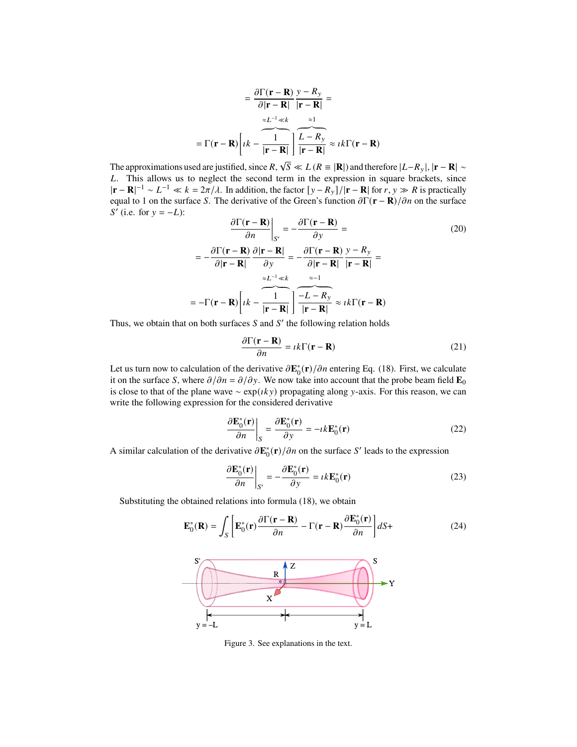$$
= \frac{\partial \Gamma(\mathbf{r} - \mathbf{R})}{\partial |\mathbf{r} - \mathbf{R}|} \frac{y - R_y}{|\mathbf{r} - \mathbf{R}|} =
$$

$$
= \Gamma(\mathbf{r} - \mathbf{R}) \left[ \frac{1}{\left| k - \frac{1}{|\mathbf{r} - \mathbf{R}|} \right|} \prod_{i = 1}^{N-1} \frac{z_i}{|z - \mathbf{R}|} \right] \approx \frac{1}{\left| k - \frac{1}{|\mathbf{r} - \mathbf{R}|} \right|} \approx \frac{1}{\left| k - \frac{1}{|\mathbf{r} - \mathbf{R}|} \right|}
$$

The approximations used are justified, since  $R$ ,  $\sqrt{S} \ll L (R = |\mathbf{R}|)$  and therefore  $|L - R_{y}|$ ,  $|\mathbf{r} - \mathbf{R}| \sim$ L. This allows us to neglect the second term in the expression in square brackets, since  $|\mathbf{r} - \mathbf{R}|^{-1} \sim L^{-1} \ll k = 2\pi/\lambda$ . In addition, the factor  $[y - R_y]/|\mathbf{r} - \mathbf{R}|$  for  $r, y \gg R$  is practically equal to 1 on the surface S. The derivative of the Green's function  $\partial \Gamma(\mathbf{r} - \mathbf{R})/\partial n$  on the surface  $S'$  (i.e. for  $y = -L$ ):

$$
\frac{\partial \Gamma(\mathbf{r} - \mathbf{R})}{\partial n}\Big|_{S'} = -\frac{\partial \Gamma(\mathbf{r} - \mathbf{R})}{\partial y} =
$$
(20)  

$$
= -\frac{\partial \Gamma(\mathbf{r} - \mathbf{R})}{\partial |\mathbf{r} - \mathbf{R}|} \frac{\partial |\mathbf{r} - \mathbf{R}|}{\partial y} = -\frac{\partial \Gamma(\mathbf{r} - \mathbf{R})}{\partial |\mathbf{r} - \mathbf{R}|} \frac{y - R_y}{|\mathbf{r} - \mathbf{R}|} =
$$

$$
= -\Gamma(\mathbf{r} - \mathbf{R}) \left[ \frac{1}{k} - \frac{1}{|\mathbf{r} - \mathbf{R}|} \right] \frac{-L - R_y}{|\mathbf{r} - \mathbf{R}|} \approx \frac{1}{k} \Gamma(\mathbf{r} - \mathbf{R})
$$

Thus, we obtain that on both surfaces  $S$  and  $S'$  the following relation holds

$$
\frac{\partial \Gamma(\mathbf{r} - \mathbf{R})}{\partial n} = i k \Gamma(\mathbf{r} - \mathbf{R})
$$
\n(21)

Let us turn now to calculation of the derivative  $\partial \mathbf{E}_0^*(\mathbf{r})/\partial n$  entering Eq. [\(18\)](#page-9-0). First, we calculate it on the surface S, where  $\partial/\partial n = \partial/\partial y$ . We now take into account that the probe beam field **E**<sub>0</sub> is close to that of the plane wave ∼  $exp(iky)$  propagating along y-axis. For this reason, we can write the following expression for the considered derivative

$$
\frac{\partial \mathbf{E}_{0}^{*}(\mathbf{r})}{\partial n}\bigg|_{S} = \frac{\partial \mathbf{E}_{0}^{*}(\mathbf{r})}{\partial y} = -\imath k \mathbf{E}_{0}^{*}(\mathbf{r})
$$
\n(22)

A similar calculation of the derivative  $\partial \mathbf{E}_0^*(\mathbf{r})/\partial n$  on the surface S' leads to the expression

$$
\frac{\partial \mathbf{E}_0^*(\mathbf{r})}{\partial n}\bigg|_{S'} = -\frac{\partial \mathbf{E}_0^*(\mathbf{r})}{\partial y} = i k \mathbf{E}_0^*(\mathbf{r})
$$
(23)

<span id="page-10-0"></span>Substituting the obtained relations into formula [\(18\)](#page-9-0), we obtain

$$
\mathbf{E}_0^*(\mathbf{R}) = \int_S \left[ \mathbf{E}_0^*(\mathbf{r}) \frac{\partial \Gamma(\mathbf{r} - \mathbf{R})}{\partial n} - \Gamma(\mathbf{r} - \mathbf{R}) \frac{\partial \mathbf{E}_0^*(\mathbf{r})}{\partial n} \right] dS + \tag{24}
$$



Figure 3. See explanations in the text.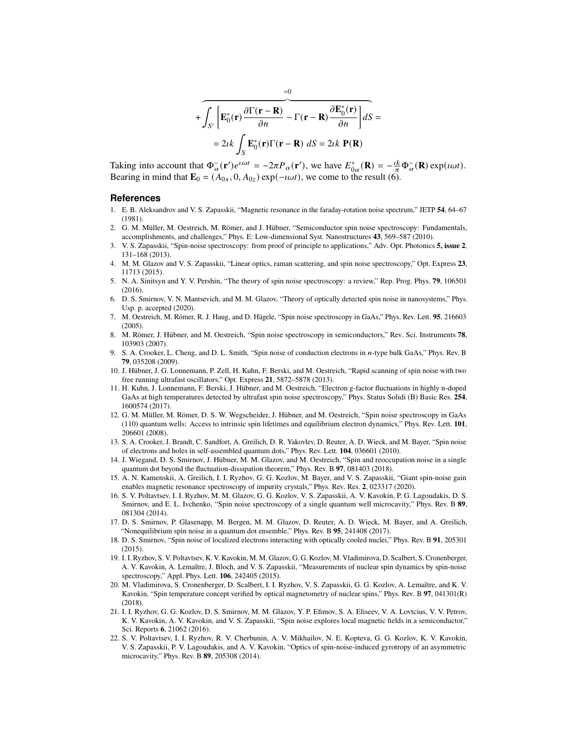$$
+\overbrace{\int_{S'}\left[\mathbf{E}_0^*(\mathbf{r})\frac{\partial\Gamma(\mathbf{r}-\mathbf{R})}{\partial n}-\Gamma(\mathbf{r}-\mathbf{R})\frac{\partial\mathbf{E}_0^*(\mathbf{r})}{\partial n}\right]}^{*}dS=
$$
  
=2 $ik\int_{S}\mathbf{E}_0^*(\mathbf{r})\Gamma(\mathbf{r}-\mathbf{R})\ dS=2\iota k \mathbf{P}(\mathbf{R})$ 

Taking into account that  $\Phi_{\alpha}^-(\mathbf{r}')e^{i\omega t} = -2\pi P_{\alpha}(\mathbf{r}')$ , we have  $E_{0\alpha}^*(\mathbf{R}) = -\frac{ik}{\pi}\Phi_{\alpha}^-(\mathbf{R})\exp(i\omega t)$ . Bearing in mind that  $\mathbf{E}_0 = (A_{0x}, 0, A_{0z}) \exp(-i\omega t)$ , we come to the result [\(6\)](#page-3-3).

#### **References**

- <span id="page-11-0"></span>1. E. B. Aleksandrov and V. S. Zapasskii, "Magnetic resonance in the faraday-rotation noise spectrum," JETP **54**, 64–67 (1981).
- <span id="page-11-1"></span>2. G. M. Müller, M. Oestreich, M. Römer, and J. Hübner, "Semiconductor spin noise spectroscopy: Fundamentals, accomplishments, and challenges," Phys. E: Low-dimensional Syst. Nanostructures **43**, 569–587 (2010).
- 3. V. S. Zapasskii, "Spin-noise spectroscopy: from proof of principle to applications," Adv. Opt. Photonics **5, issue 2**, 131–168 (2013).
- 4. M. M. Glazov and V. S. Zapasskii, "Linear optics, raman scattering, and spin noise spectroscopy," Opt. Express **23**, 11713 (2015).
- 5. N. A. Sinitsyn and Y. V. Pershin, "The theory of spin noise spectroscopy: a review," Rep. Prog. Phys. **79**, 106501 (2016).
- <span id="page-11-2"></span>6. D. S. Smirnov, V. N. Mantsevich, and M. M. Glazov, "Theory of optically detected spin noise in nanosystems," Phys. Usp. p. accepted (2020).
- <span id="page-11-3"></span>7. M. Oestreich, M. Römer, R. J. Haug, and D. Hägele, "Spin noise spectroscopy in GaAs," Phys. Rev. Lett. **95**, 216603 (2005).
- 8. M. Römer, J. Hübner, and M. Oestreich, "Spin noise spectroscopy in semiconductors," Rev. Sci. Instruments **78**, 103903 (2007).
- <span id="page-11-7"></span>9. S. A. Crooker, L. Cheng, and D. L. Smith, "Spin noise of conduction electrons in -type bulk GaAs," Phys. Rev. B **79**, 035208 (2009).
- 10. J. Hübner, J. G. Lonnemann, P. Zell, H. Kuhn, F. Berski, and M. Oestreich, "Rapid scanning of spin noise with two free running ultrafast oscillators," Opt. Express **21**, 5872–5878 (2013).
- <span id="page-11-4"></span>11. H. Kuhn, J. Lonnemann, F. Berski, J. Hübner, and M. Oestreich, "Electron g-factor fluctuations in highly n-doped GaAs at high temperatures detected by ultrafast spin noise spectroscopy," Phys. Status Solidi (B) Basic Res. **254**, 1600574 (2017).
- <span id="page-11-5"></span>12. G. M. Müller, M. Römer, D. S. W. Wegscheider, J. Hübner, and M. Oestreich, "Spin noise spectroscopy in GaAs (110) quantum wells: Access to intrinsic spin lifetimes and equilibrium electron dynamics," Phys. Rev. Lett. **101**, 206601 (2008).
- 13. S. A. Crooker, J. Brandt, C. Sandfort, A. Greilich, D. R. Yakovlev, D. Reuter, A. D. Wieck, and M. Bayer, "Spin noise of electrons and holes in self-assembled quantum dots," Phys. Rev. Lett. **104**, 036601 (2010).
- <span id="page-11-6"></span>14. J. Wiegand, D. S. Smirnov, J. Hübner, M. M. Glazov, and M. Oestreich, "Spin and reoccupation noise in a single quantum dot beyond the fluctuation-dissipation theorem," Phys. Rev. B **97**, 081403 (2018).
- <span id="page-11-8"></span>15. A. N. Kamenskii, A. Greilich, I. I. Ryzhov, G. G. Kozlov, M. Bayer, and V. S. Zapasskii, "Giant spin-noise gain enables magnetic resonance spectroscopy of impurity crystals," Phys. Rev. Res. **2**, 023317 (2020).
- <span id="page-11-9"></span>16. S. V. Poltavtsev, I. I. Ryzhov, M. M. Glazov, G. G. Kozlov, V. S. Zapasskii, A. V. Kavokin, P. G. Lagoudakis, D. S. Smirnov, and E. L. Ivchenko, "Spin noise spectroscopy of a single quantum well microcavity," Phys. Rev. B **89**, 081304 (2014).
- <span id="page-11-10"></span>17. D. S. Smirnov, P. Glasenapp, M. Bergen, M. M. Glazov, D. Reuter, A. D. Wieck, M. Bayer, and A. Greilich, "Nonequilibrium spin noise in a quantum dot ensemble," Phys. Rev. B **95**, 241408 (2017).
- <span id="page-11-11"></span>18. D. S. Smirnov, "Spin noise of localized electrons interacting with optically cooled nuclei," Phys. Rev. B **91**, 205301 (2015).
- 19. I. I. Ryzhov, S. V. Poltavtsev, K. V. Kavokin, M. M. Glazov, G. G. Kozlov, M. Vladimirova, D. Scalbert, S. Cronenberger, A. V. Kavokin, A. Lemaître, J. Bloch, and V. S. Zapasskii, "Measurements of nuclear spin dynamics by spin-noise spectroscopy," Appl. Phys. Lett. **106**, 242405 (2015).
- <span id="page-11-12"></span>20. M. Vladimirova, S. Cronenberger, D. Scalbert, I. I. Ryzhov, V. S. Zapasskii, G. G. Kozlov, A. Lemaître, and K. V. Kavokin, "Spin temperature concept verified by optical magnetometry of nuclear spins," Phys. Rev. B **97**, 041301(R) (2018).
- <span id="page-11-13"></span>21. I. I. Ryzhov, G. G. Kozlov, D. S. Smirnov, M. M. Glazov, Y. P. Efimov, S. A. Eliseev, V. A. Lovtcius, V. V. Petrov, K. V. Kavokin, A. V. Kavokin, and V. S. Zapasskii, "Spin noise explores local magnetic fields in a semiconductor," Sci. Reports **6**, 21062 (2016).
- <span id="page-11-14"></span>22. S. V. Poltavtsev, I. I. Ryzhov, R. V. Cherbunin, A. V. Mikhailov, N. E. Kopteva, G. G. Kozlov, K. V. Kavokin, V. S. Zapasskii, P. V. Lagoudakis, and A. V. Kavokin, "Optics of spin-noise-induced gyrotropy of an asymmetric microcavity," Phys. Rev. B **89**, 205308 (2014).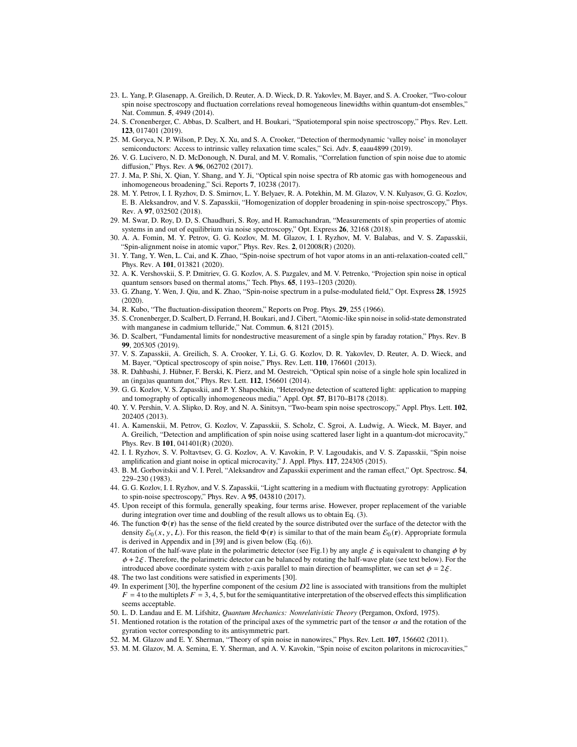- <span id="page-12-0"></span>23. L. Yang, P. Glasenapp, A. Greilich, D. Reuter, A. D. Wieck, D. R. Yakovlev, M. Bayer, and S. A. Crooker, "Two-colour spin noise spectroscopy and fluctuation correlations reveal homogeneous linewidths within quantum-dot ensembles," Nat. Commun. **5**, 4949 (2014).
- <span id="page-12-1"></span>24. S. Cronenberger, C. Abbas, D. Scalbert, and H. Boukari, "Spatiotemporal spin noise spectroscopy," Phys. Rev. Lett. **123**, 017401 (2019).
- <span id="page-12-2"></span>25. M. Goryca, N. P. Wilson, P. Dey, X. Xu, and S. A. Crooker, "Detection of thermodynamic 'valley noise' in monolayer semiconductors: Access to intrinsic valley relaxation time scales," Sci. Adv. **5**, eaau4899 (2019).
- <span id="page-12-3"></span>26. V. G. Lucivero, N. D. McDonough, N. Dural, and M. V. Romalis, "Correlation function of spin noise due to atomic diffusion," Phys. Rev. A **96**, 062702 (2017).
- 27. J. Ma, P. Shi, X. Qian, Y. Shang, and Y. Ji, "Optical spin noise spectra of Rb atomic gas with homogeneous and inhomogeneous broadening," Sci. Reports **7**, 10238 (2017).
- 28. M. Y. Petrov, I. I. Ryzhov, D. S. Smirnov, L. Y. Belyaev, R. A. Potekhin, M. M. Glazov, V. N. Kulyasov, G. G. Kozlov, E. B. Aleksandrov, and V. S. Zapasskii, "Homogenization of doppler broadening in spin-noise spectroscopy," Phys. Rev. A **97**, 032502 (2018).
- 29. M. Swar, D. Roy, D. D, S. Chaudhuri, S. Roy, and H. Ramachandran, "Measurements of spin properties of atomic systems in and out of equilibrium via noise spectroscopy," Opt. Express **26**, 32168 (2018).
- <span id="page-12-15"></span>30. A. A. Fomin, M. Y. Petrov, G. G. Kozlov, M. M. Glazov, I. I. Ryzhov, M. V. Balabas, and V. S. Zapasskii, "Spin-alignment noise in atomic vapor," Phys. Rev. Res. **2**, 012008(R) (2020).
- 31. Y. Tang, Y. Wen, L. Cai, and K. Zhao, "Spin-noise spectrum of hot vapor atoms in an anti-relaxation-coated cell," Phys. Rev. A **101**, 013821 (2020).
- 32. A. K. Vershovskii, S. P. Dmitriev, G. G. Kozlov, A. S. Pazgalev, and M. V. Petrenko, "Projection spin noise in optical quantum sensors based on thermal atoms," Tech. Phys. **65**, 1193–1203 (2020).
- <span id="page-12-4"></span>33. G. Zhang, Y. Wen, J. Qiu, and K. Zhao, "Spin-noise spectrum in a pulse-modulated field," Opt. Express **28**, 15925 (2020).
- <span id="page-12-5"></span>34. R. Kubo, "The fluctuation-dissipation theorem," Reports on Prog. Phys. **29**, 255 (1966).
- <span id="page-12-6"></span>35. S. Cronenberger, D. Scalbert, D. Ferrand, H. Boukari, and J. Cibert, "Atomic-like spin noise in solid-state demonstrated with manganese in cadmium telluride," Nat. Commun. **6**, 8121 (2015).
- <span id="page-12-7"></span>36. D. Scalbert, "Fundamental limits for nondestructive measurement of a single spin by faraday rotation," Phys. Rev. B **99**, 205305 (2019).
- <span id="page-12-8"></span>37. V. S. Zapasskii, A. Greilich, S. A. Crooker, Y. Li, G. G. Kozlov, D. R. Yakovlev, D. Reuter, A. D. Wieck, and M. Bayer, "Optical spectroscopy of spin noise," Phys. Rev. Lett. **110**, 176601 (2013).
- <span id="page-12-9"></span>38. R. Dahbashi, J. Hübner, F. Berski, K. Pierz, and M. Oestreich, "Optical spin noise of a single hole spin localized in an (inga)as quantum dot," Phys. Rev. Lett. **112**, 156601 (2014).
- <span id="page-12-10"></span>39. G. G. Kozlov, V. S. Zapasskii, and P. Y. Shapochkin, "Heterodyne detection of scattered light: application to mapping and tomography of optically inhomogeneous media," Appl. Opt. **57**, B170–B178 (2018).
- <span id="page-12-11"></span>40. Y. V. Pershin, V. A. Slipko, D. Roy, and N. A. Sinitsyn, "Two-beam spin noise spectroscopy," Appl. Phys. Lett. **102**, 202405 (2013).
- <span id="page-12-12"></span>41. A. Kamenskii, M. Petrov, G. Kozlov, V. Zapasskii, S. Scholz, C. Sgroi, A. Ludwig, A. Wieck, M. Bayer, and A. Greilich, "Detection and amplification of spin noise using scattered laser light in a quantum-dot microcavity," Phys. Rev. B **101**, 041401(R) (2020).
- <span id="page-12-13"></span>42. I. I. Ryzhov, S. V. Poltavtsev, G. G. Kozlov, A. V. Kavokin, P. V. Lagoudakis, and V. S. Zapasskii, "Spin noise amplification and giant noise in optical microcavity," J. Appl. Phys. **117**, 224305 (2015).
- <span id="page-12-14"></span>43. B. M. Gorbovitskii and V. I. Perel, "Aleksandrov and Zapasskii experiment and the raman effect," Opt. Spectrosc. **54**, 229–230 (1983).
- <span id="page-12-16"></span>44. G. G. Kozlov, I. I. Ryzhov, and V. S. Zapasskii, "Light scattering in a medium with fluctuating gyrotropy: Application to spin-noise spectroscopy," Phys. Rev. A **95**, 043810 (2017).
- <span id="page-12-17"></span>45. Upon receipt of this formula, generally speaking, four terms arise. However, proper replacement of the variable during integration over time and doubling of the result allows us to obtain Eq. [\(3\)](#page-3-0).
- <span id="page-12-18"></span>46. The function Φ(**r**) has the sense of the field created by the source distributed over the surface of the detector with the density  $\mathcal{E}_0(x, y, L)$ . For this reason, the field  $\Phi(\mathbf{r})$  is similar to that of the main beam  $\mathcal{E}_0(\mathbf{r})$ . Appropriate formula is derived in Appendix and in [\[39\]](#page-12-10) and is given below (Eq. [\(6\)](#page-3-3)).
- <span id="page-12-19"></span>47. Rotation of the half-wave plate in the polarimetric detector (see Fig[.1\)](#page-2-0) by any angle  $\xi$  is equivalent to changing  $\phi$  by  $\phi + 2\xi$ . Therefore, the polarimetric detector can be balanced by rotating the half-wave plate (see text below). For the introduced above coordinate system with z-axis parallel to main direction of beamsplitter, we can set  $\phi = 2 \xi$ .
- <span id="page-12-20"></span>48. The two last conditions were satisfied in experiments [\[30\]](#page-12-15).
- <span id="page-12-21"></span>49. In experiment [\[30\]](#page-12-15), the hyperfine component of the cesium  $D2$  line is associated with transitions from the multiplet  $F = 4$  to the multiplets  $F = 3, 4, 5$ , but for the semiquantitative interpretation of the observed effects this simplification seems acceptable.
- <span id="page-12-22"></span>50. L. D. Landau and E. M. Lifshitz, *Quantum Mechanics: Nonrelativistic Theory* (Pergamon, Oxford, 1975).
- <span id="page-12-23"></span>51. Mentioned rotation is the rotation of the principal axes of the symmetric part of the tensor  $\alpha$  and the rotation of the gyration vector corresponding to its antisymmetric part.
- <span id="page-12-24"></span>52. M. M. Glazov and E. Y. Sherman, "Theory of spin noise in nanowires," Phys. Rev. Lett. **107**, 156602 (2011).
- 53. M. M. Glazov, M. A. Semina, E. Y. Sherman, and A. V. Kavokin, "Spin noise of exciton polaritons in microcavities,"